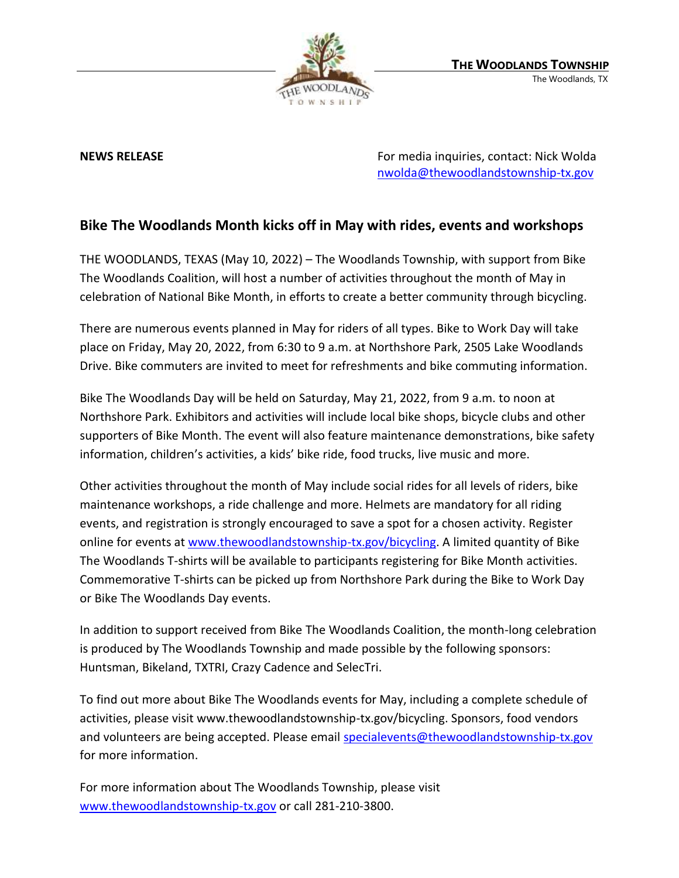

**NEWS RELEASE EXECUTE:** NEWS **RELEASE For media inquiries, contact: Nick Wolda** [nwolda@thewoodlandstownship-tx.gov](mailto:nwolda@thewoodlandstownship-tx.gov)

## **Bike The Woodlands Month kicks off in May with rides, events and workshops**

THE WOODLANDS, TEXAS (May 10, 2022) – The Woodlands Township, with support from Bike The Woodlands Coalition, will host a number of activities throughout the month of May in celebration of National Bike Month, in efforts to create a better community through bicycling.

There are numerous events planned in May for riders of all types. Bike to Work Day will take place on Friday, May 20, 2022, from 6:30 to 9 a.m. at Northshore Park, 2505 Lake Woodlands Drive. Bike commuters are invited to meet for refreshments and bike commuting information.

Bike The Woodlands Day will be held on Saturday, May 21, 2022, from 9 a.m. to noon at Northshore Park. Exhibitors and activities will include local bike shops, bicycle clubs and other supporters of Bike Month. The event will also feature maintenance demonstrations, bike safety information, children's activities, a kids' bike ride, food trucks, live music and more.

Other activities throughout the month of May include social rides for all levels of riders, bike maintenance workshops, a ride challenge and more. Helmets are mandatory for all riding events, and registration is strongly encouraged to save a spot for a chosen activity. Register online for events at [www.thewoodlandstownship-tx.gov/bicycling.](http://www.thewoodlandstownship-tx.gov/bicycling) A limited quantity of Bike The Woodlands T-shirts will be available to participants registering for Bike Month activities. Commemorative T-shirts can be picked up from Northshore Park during the Bike to Work Day or Bike The Woodlands Day events.

In addition to support received from Bike The Woodlands Coalition, the month-long celebration is produced by The Woodlands Township and made possible by the following sponsors: Huntsman, Bikeland, TXTRI, Crazy Cadence and SelecTri.

To find out more about Bike The Woodlands events for May, including a complete schedule of activities, please visit www.thewoodlandstownship-tx.gov/bicycling. Sponsors, food vendors and volunteers are being accepted. Please email [specialevents@thewoodlandstownship-tx.gov](mailto:specialevents@thewoodlandstownship-tx.gov) for more information.

For more information about The Woodlands Township, please visit [www.thewoodlandstownship-tx.gov](http://www.thewoodlandstownship-tx.gov/) or call 281-210-3800.